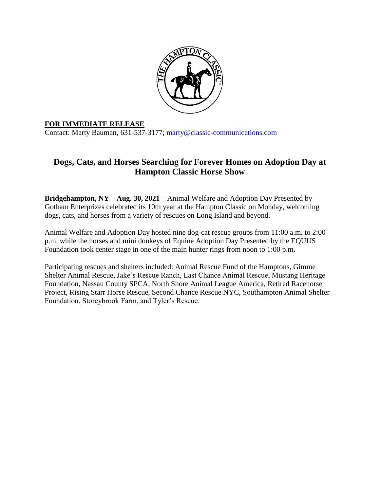

## **FOR IMMEDIATE RELEASE**

Contact: Marty Bauman, 631-537-3177; [marty@classic-communications.com](about:blank)

## **Dogs, Cats, and Horses Searching for Forever Homes on Adoption Day at Hampton Classic Horse Show**

**Bridgehampton, NY – Aug. 30, 2021** – Animal Welfare and Adoption Day Presented by Gotham Enterprizes celebrated its 10th year at the Hampton Classic on Monday, welcoming dogs, cats, and horses from a variety of rescues on Long Island and beyond.

Animal Welfare and Adoption Day hosted nine dog-cat rescue groups from 11:00 a.m. to 2:00 p.m. while the horses and mini donkeys of Equine Adoption Day Presented by the EQUUS Foundation took center stage in one of the main hunter rings from noon to 1:00 p.m.

Participating rescues and shelters included: Animal Rescue Fund of the Hamptons, Gimme Shelter Animal Rescue, Jake's Rescue Ranch, Last Chance Animal Rescue, Mustang Heritage Foundation, Nassau County SPCA, North Shore Animal League America, Retired Racehorse Project, Rising Starr Horse Rescue, Second Chance Rescue NYC, Southampton Animal Shelter Foundation, Storeybrook Farm, and Tyler's Rescue.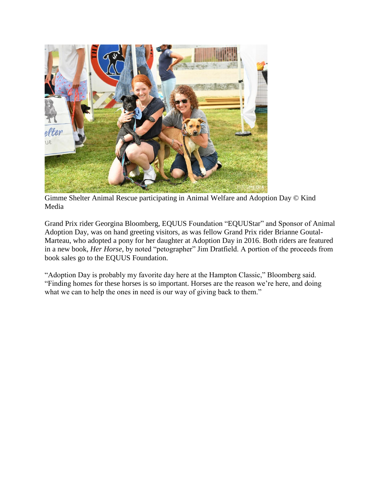

Gimme Shelter Animal Rescue participating in Animal Welfare and Adoption Day © Kind Media

Grand Prix rider Georgina Bloomberg, EQUUS Foundation "EQUUStar" and Sponsor of Animal Adoption Day, was on hand greeting visitors, as was fellow Grand Prix rider Brianne Goutal-Marteau, who adopted a pony for her daughter at Adoption Day in 2016. Both riders are featured in a new book, *Her Horse*, by noted "petographer" Jim Dratfield. A portion of the proceeds from book sales go to the EQUUS Foundation.

"Adoption Day is probably my favorite day here at the Hampton Classic," Bloomberg said. "Finding homes for these horses is so important. Horses are the reason we're here, and doing what we can to help the ones in need is our way of giving back to them."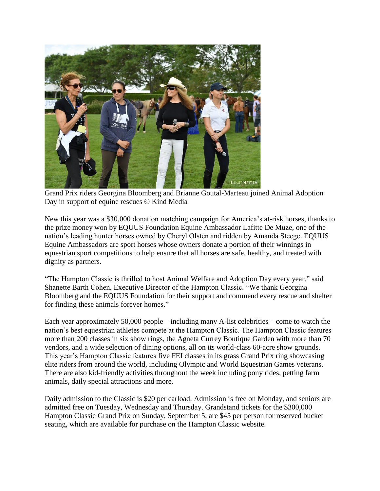

Grand Prix riders Georgina Bloomberg and Brianne Goutal-Marteau joined Animal Adoption Day in support of equine rescues © Kind Media

New this year was a \$30,000 donation matching campaign for America's at-risk horses, thanks to the prize money won by EQUUS Foundation Equine Ambassador Lafitte De Muze, one of the nation's leading hunter horses owned by Cheryl Olsten and ridden by Amanda Steege. EQUUS Equine Ambassadors are sport horses whose owners donate a portion of their winnings in equestrian sport competitions to help ensure that all horses are safe, healthy, and treated with dignity as partners.

"The Hampton Classic is thrilled to host Animal Welfare and Adoption Day every year," said Shanette Barth Cohen, Executive Director of the Hampton Classic. "We thank Georgina Bloomberg and the EQUUS Foundation for their support and commend every rescue and shelter for finding these animals forever homes."

Each year approximately 50,000 people – including many A-list celebrities – come to watch the nation's best equestrian athletes compete at the Hampton Classic. The Hampton Classic features more than 200 classes in six show rings, the Agneta Currey Boutique Garden with more than 70 vendors, and a wide selection of dining options, all on its world-class 60-acre show grounds. This year's Hampton Classic features five FEI classes in its grass Grand Prix ring showcasing elite riders from around the world, including Olympic and World Equestrian Games veterans. There are also kid-friendly activities throughout the week including pony rides, petting farm animals, daily special attractions and more.

Daily admission to the Classic is \$20 per carload. Admission is free on Monday, and seniors are admitted free on Tuesday, Wednesday and Thursday. Grandstand tickets for the \$300,000 Hampton Classic Grand Prix on Sunday, September 5, are \$45 per person for reserved bucket seating, which are available for purchase on the Hampton Classic website.